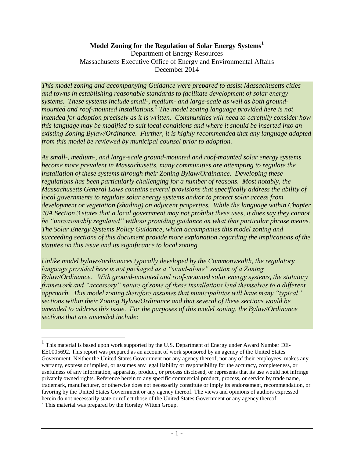### **Model Zoning for the Regulation of Solar Energy Systems<sup>1</sup>**

Department of Energy Resources Massachusetts Executive Office of Energy and Environmental Affairs December 2014

*This model zoning and accompanying Guidance were prepared to assist Massachusetts cities and towns in establishing reasonable standards to facilitate development of solar energy systems. These systems include small-, medium- and large-scale as well as both groundmounted and roof-mounted installations.<sup>2</sup> The model zoning language provided here is not intended for adoption precisely as it is written. Communities will need to carefully consider how this language may be modified to suit local conditions and where it should be inserted into an existing Zoning Bylaw/Ordinance. Further, it is highly recommended that any language adapted from this model be reviewed by municipal counsel prior to adoption.*

*As small-, medium-, and large-scale ground-mounted and roof-mounted solar energy systems become more prevalent in Massachusetts, many communities are attempting to regulate the installation of these systems through their Zoning Bylaw/Ordinance. Developing these regulations has been particularly challenging for a number of reasons. Most notably, the Massachusetts General Laws contains several provisions that specifically address the ability of local governments to regulate solar energy systems and/or to protect solar access from development or vegetation (shading) on adjacent properties. While the language within Chapter 40A Section 3 states that a local government may not prohibit these uses, it does say they cannot be "unreasonably regulated" without providing guidance on what that particular phrase means. The Solar Energy Systems Policy Guidance, which accompanies this model zoning and succeeding sections of this document provide more explanation regarding the implications of the statutes on this issue and its significance to local zoning.*

*Unlike model bylaws/ordinances typically developed by the Commonwealth, the regulatory language provided here is not packaged as a "stand-alone" section of a Zoning Bylaw/Ordinance. With ground-mounted and roof-mounted solar energy systems, the statutory framework and "accessory" nature of some of these installations lend themselves to a different approach. This model zoning therefore assumes that municipalities will have many "typical" sections within their Zoning Bylaw/Ordinance and that several of these sections would be amended to address this issue. For the purposes of this model zoning, the Bylaw/Ordinance sections that are amended include:*

<sup>&</sup>lt;sup>1</sup> This material is based upon work supported by the U.S. Department of Energy under Award Number DE-EE0005692. This report was prepared as an account of work sponsored by an agency of the United States Government. Neither the United States Government nor any agency thereof, nor any of their employees, makes any warranty, express or implied, or assumes any legal liability or responsibility for the accuracy, completeness, or usefulness of any information, apparatus, product, or process disclosed, or represents that its use would not infringe privately owned rights. Reference herein to any specific commercial product, process, or service by trade name, trademark, manufacturer, or otherwise does not necessarily constitute or imply its endorsement, recommendation, or favoring by the United States Government or any agency thereof. The views and opinions of authors expressed herein do not necessarily state or reflect those of the United States Government or any agency thereof. <sup>2</sup> This material was prepared by the Horsley Witten Group.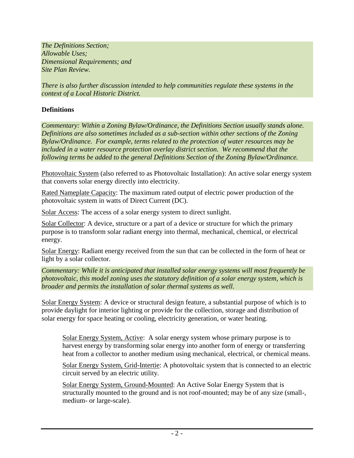*The Definitions Section; Allowable Uses; Dimensional Requirements; and Site Plan Review.*

*There is also further discussion intended to help communities regulate these systems in the context of a Local Historic District.*

## **Definitions**

*Commentary: Within a Zoning Bylaw/Ordinance, the Definitions Section usually stands alone. Definitions are also sometimes included as a sub-section within other sections of the Zoning Bylaw/Ordinance. For example, terms related to the protection of water resources may be included in a water resource protection overlay district section. We recommend that the following terms be added to the general Definitions Section of the Zoning Bylaw/Ordinance.*

Photovoltaic System (also referred to as Photovoltaic Installation): An active solar energy system that converts solar energy directly into electricity.

Rated Nameplate Capacity: The maximum rated output of electric power production of the photovoltaic system in watts of Direct Current (DC).

Solar Access: The access of a solar energy system to direct sunlight.

Solar Collector: A device, structure or a part of a device or structure for which the primary purpose is to transform solar radiant energy into thermal, mechanical, chemical, or electrical energy.

Solar Energy: Radiant energy received from the sun that can be collected in the form of heat or light by a solar collector.

*Commentary: While it is anticipated that installed solar energy systems will most frequently be photovoltaic, this model zoning uses the statutory definition of a solar energy system, which is broader and permits the installation of solar thermal systems as well.* 

Solar Energy System: A device or structural design feature, a substantial purpose of which is to provide daylight for interior lighting or provide for the collection, storage and distribution of solar energy for space heating or cooling, electricity generation, or water heating.

Solar Energy System, Active: A solar energy system whose primary purpose is to harvest energy by transforming solar energy into another form of energy or transferring heat from a collector to another medium using mechanical, electrical, or chemical means.

Solar Energy System, Grid-Intertie: A photovoltaic system that is connected to an electric circuit served by an electric utility.

Solar Energy System, Ground-Mounted: An Active Solar Energy System that is structurally mounted to the ground and is not roof-mounted; may be of any size (small-, medium- or large-scale).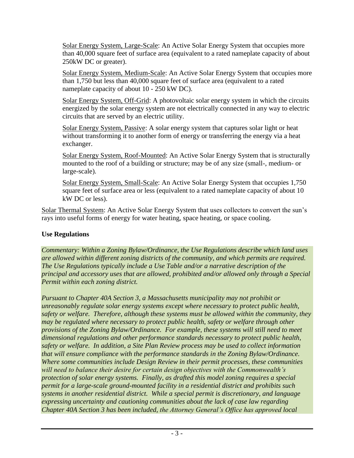Solar Energy System, Large-Scale: An Active Solar Energy System that occupies more than 40,000 square feet of surface area (equivalent to a rated nameplate capacity of about 250kW DC or greater).

Solar Energy System, Medium-Scale: An Active Solar Energy System that occupies more than 1,750 but less than 40,000 square feet of surface area (equivalent to a rated nameplate capacity of about 10 - 250 kW DC).

Solar Energy System, Off-Grid: A photovoltaic solar energy system in which the circuits energized by the solar energy system are not electrically connected in any way to electric circuits that are served by an electric utility.

Solar Energy System, Passive: A solar energy system that captures solar light or heat without transforming it to another form of energy or transferring the energy via a heat exchanger.

Solar Energy System, Roof-Mounted: An Active Solar Energy System that is structurally mounted to the roof of a building or structure; may be of any size (small-, medium- or large-scale).

Solar Energy System, Small-Scale: An Active Solar Energy System that occupies 1,750 square feet of surface area or less (equivalent to a rated nameplate capacity of about 10 kW DC or less).

Solar Thermal System: An Active Solar Energy System that uses collectors to convert the sun's rays into useful forms of energy for water heating, space heating, or space cooling.

# **Use Regulations**

*Commentary: Within a Zoning Bylaw/Ordinance, the Use Regulations describe which land uses are allowed within different zoning districts of the community, and which permits are required. The Use Regulations typically include a Use Table and/or a narrative description of the principal and accessory uses that are allowed, prohibited and/or allowed only through a Special Permit within each zoning district.*

*Pursuant to Chapter 40A Section 3, a Massachusetts municipality may not prohibit or unreasonably regulate solar energy systems except where necessary to protect public health, safety or welfare. Therefore, although these systems must be allowed within the community, they may be regulated where necessary to protect public health, safety or welfare through other provisions of the Zoning Bylaw/Ordinance. For example, these systems will still need to meet dimensional regulations and other performance standards necessary to protect public health, safety or welfare. In addition, a Site Plan Review process may be used to collect information that will ensure compliance with the performance standards in the Zoning Bylaw/Ordinance. Where some communities include Design Review in their permit processes, these communities will need to balance their desire for certain design objectives with the Commonwealth's protection of solar energy systems. Finally, as drafted this model zoning requires a special permit for a large-scale ground-mounted facility in a residential district and prohibits such systems in another residential district. While a special permit is discretionary, and language expressing uncertainty and cautioning communities about the lack of case law regarding Chapter 40A Section 3 has been included, the Attorney General's Office has approved local*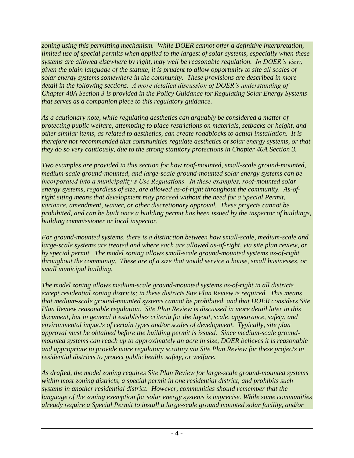*zoning using this permitting mechanism. While DOER cannot offer a definitive interpretation, limited use of special permits when applied to the largest of solar systems, especially when these systems are allowed elsewhere by right, may well be reasonable regulation. In DOER's view, given the plain language of the statute, it is prudent to allow opportunity to site all scales of solar energy systems somewhere in the community. These provisions are described in more detail in the following sections. A more detailed discussion of DOER's understanding of Chapter 40A Section 3 is provided in the Policy Guidance for Regulating Solar Energy Systems that serves as a companion piece to this regulatory guidance.*

*As a cautionary note, while regulating aesthetics can arguably be considered a matter of protecting public welfare, attempting to place restrictions on materials, setbacks or height, and other similar items, as related to aesthetics, can create roadblocks to actual installation. It is therefore not recommended that communities regulate aesthetics of solar energy systems, or that they do so very cautiously, due to the strong statutory protections in Chapter 40A Section 3.* 

*Two examples are provided in this section for how roof-mounted, small-scale ground-mounted, medium-scale ground-mounted, and large-scale ground-mounted solar energy systems can be incorporated into a municipality's Use Regulations. In these examples, roof-mounted solar energy systems, regardless of size, are allowed as-of-right throughout the community. As-ofright siting means that development may proceed without the need for a Special Permit, variance, amendment, waiver, or other discretionary approval. These projects cannot be prohibited, and can be built once a building permit has been issued by the inspector of buildings, building commissioner or local inspector.*

*For ground-mounted systems, there is a distinction between how small-scale, medium-scale and large-scale systems are treated and where each are allowed as-of-right, via site plan review, or by special permit. The model zoning allows small-scale ground-mounted systems as-of-right throughout the community. These are of a size that would service a house, small businesses, or small municipal building.*

*The model zoning allows medium-scale ground-mounted systems as-of-right in all districts except residential zoning districts; in these districts Site Plan Review is required. This means that medium-scale ground-mounted systems cannot be prohibited, and that DOER considers Site Plan Review reasonable regulation. Site Plan Review is discussed in more detail later in this document, but in general it establishes criteria for the layout, scale, appearance, safety, and environmental impacts of certain types and/or scales of development. Typically, site plan approval must be obtained before the building permit is issued. Since medium-scale groundmounted systems can reach up to approximately an acre in size, DOER believes it is reasonable and appropriate to provide more regulatory scrutiny via Site Plan Review for these projects in residential districts to protect public health, safety, or welfare.* 

*As drafted, the model zoning requires Site Plan Review for large-scale ground-mounted systems within most zoning districts, a special permit in one residential district, and prohibits such systems in another residential district. However, communities should remember that the language of the zoning exemption for solar energy systems is imprecise. While some communities already require a Special Permit to install a large-scale ground mounted solar facility, and/or*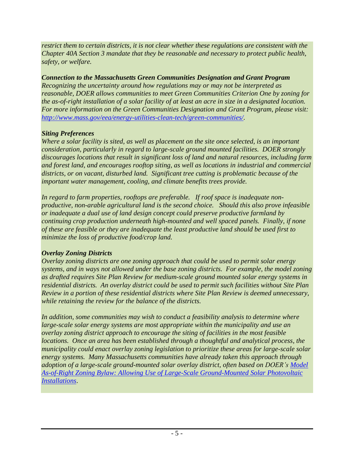*restrict them to certain districts, it is not clear whether these regulations are consistent with the Chapter 40A Section 3 mandate that they be reasonable and necessary to protect public health, safety, or welfare.* 

## *Connection to the Massachusetts Green Communities Designation and Grant Program*

*Recognizing the uncertainty around how regulations may or may not be interpreted as reasonable, DOER allows communities to meet Green Communities Criterion One by zoning for the as-of-right installation of a solar facility of at least an acre in size in a designated location. For more information on the Green Communities Designation and Grant Program, please visit: [http://www.mass.gov/eea/energy-utilities-clean-tech/green-communities/.](http://www.mass.gov/eea/energy-utilities-clean-tech/green-communities/)* 

# *Siting Preferences*

*Where a solar facility is sited, as well as placement on the site once selected, is an important consideration, particularly in regard to large-scale ground mounted facilities. DOER strongly discourages locations that result in significant loss of land and natural resources, including farm and forest land, and encourages rooftop siting, as well as locations in industrial and commercial districts, or on vacant, disturbed land. Significant tree cutting is problematic because of the important water management, cooling, and climate benefits trees provide.* 

*In regard to farm properties, rooftops are preferable. If roof space is inadequate nonproductive, non-arable agricultural land is the second choice. Should this also prove infeasible or inadequate a dual use of land design concept could preserve productive farmland by continuing crop production underneath high-mounted and well spaced panels. Finally, if none of these are feasible or they are inadequate the least productive land should be used first to minimize the loss of productive food/crop land.*

# *Overlay Zoning Districts*

*Overlay zoning districts are one zoning approach that could be used to permit solar energy systems, and in ways not allowed under the base zoning districts. For example, the model zoning as drafted requires Site Plan Review for medium-scale ground mounted solar energy systems in residential districts. An overlay district could be used to permit such facilities without Site Plan Review in a portion of these residential districts where Site Plan Review is deemed unnecessary, while retaining the review for the balance of the districts.*

*In addition, some communities may wish to conduct a feasibility analysis to determine where large-scale solar energy systems are most appropriate within the municipality and use an overlay zoning district approach to encourage the siting of facilities in the most feasible locations. Once an area has been established through a thoughtful and analytical process, the municipality could enact overlay zoning legislation to prioritize these areas for large-scale solar energy systems. Many Massachusetts communities have already taken this approach through adoption of a large-scale ground-mounted solar overlay district, often based on DOER's [Model](http://www.mass.gov/eea/docs/doer/green-communities/grant-program/solar-model-bylaw-mar-2012.pdf)  [As-of-Right Zoning Bylaw: Allowing Use of Large-Scale Ground-Mounted Solar Photovoltaic](http://www.mass.gov/eea/docs/doer/green-communities/grant-program/solar-model-bylaw-mar-2012.pdf)  [Installations](http://www.mass.gov/eea/docs/doer/green-communities/grant-program/solar-model-bylaw-mar-2012.pdf)*.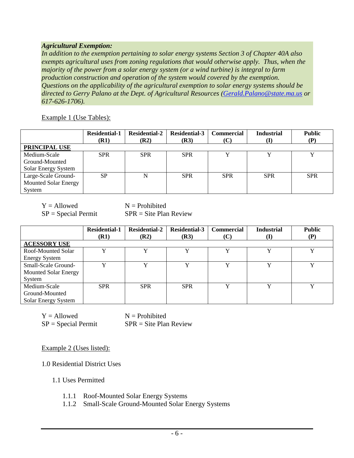### *Agricultural Exemption:*

*In addition to the exemption pertaining to solar energy systems Section 3 of Chapter 40A also exempts agricultural uses from zoning regulations that would otherwise apply. Thus, when the majority of the power from a solar energy system (or a wind turbine) is integral to farm production construction and operation of the system would covered by the exemption. Questions on the applicability of the agricultural exemption to solar energy systems should be directed to Gerry Palano at the Dept. of Agricultural Resources [\(Gerald.Palano@state.ma.us](mailto:Gerald.Palano@state.ma.us) or 617-626-1706).*

Example 1 (Use Tables):

|                             | <b>Residential-1</b><br>(R1) | <b>Residential-2</b><br>( <b>R2</b> ) | <b>Residential-3</b><br>(R3) | <b>Commercial</b> | <b>Industrial</b> | <b>Public</b><br>(P) |  |  |  |
|-----------------------------|------------------------------|---------------------------------------|------------------------------|-------------------|-------------------|----------------------|--|--|--|
| PRINCIPAL USE               |                              |                                       |                              |                   |                   |                      |  |  |  |
| Medium-Scale                | <b>SPR</b>                   | <b>SPR</b>                            | <b>SPR</b>                   |                   |                   |                      |  |  |  |
| Ground-Mounted              |                              |                                       |                              |                   |                   |                      |  |  |  |
| Solar Energy System         |                              |                                       |                              |                   |                   |                      |  |  |  |
| Large-Scale Ground-         | <b>SP</b>                    |                                       | <b>SPR</b>                   | <b>SPR</b>        | <b>SPR</b>        | <b>SPR</b>           |  |  |  |
| <b>Mounted Solar Energy</b> |                              |                                       |                              |                   |                   |                      |  |  |  |
| System                      |                              |                                       |                              |                   |                   |                      |  |  |  |

 $Y =$  Allowed  $N =$  Prohibited

 $SP = Special$  Permit SPR = Site Plan Review

|                                                              | <b>Residential-1</b><br>(R1) | <b>Residential-2</b><br>(R2) | <b>Residential-3</b><br>(R3) | <b>Commercial</b><br>(C) | <b>Industrial</b><br>(I) | <b>Public</b><br>(P) |  |  |  |
|--------------------------------------------------------------|------------------------------|------------------------------|------------------------------|--------------------------|--------------------------|----------------------|--|--|--|
| <b>ACESSORY USE</b>                                          |                              |                              |                              |                          |                          |                      |  |  |  |
| Roof-Mounted Solar<br><b>Energy System</b>                   | v                            | v                            |                              |                          |                          | v                    |  |  |  |
| Small-Scale Ground-<br><b>Mounted Solar Energy</b><br>System | v                            | v                            |                              | v                        | v                        |                      |  |  |  |
| Medium-Scale<br>Ground-Mounted<br>Solar Energy System        | <b>SPR</b>                   | <b>SPR</b>                   | <b>SPR</b>                   |                          |                          |                      |  |  |  |

 $Y =$  Allowed  $N =$  Prohibited  $SP = Special$  Permit SPR = Site Plan Review

Example 2 (Uses listed):

1.0 Residential District Uses

1.1 Uses Permitted

- 1.1.1 Roof-Mounted Solar Energy Systems
- 1.1.2 Small-Scale Ground-Mounted Solar Energy Systems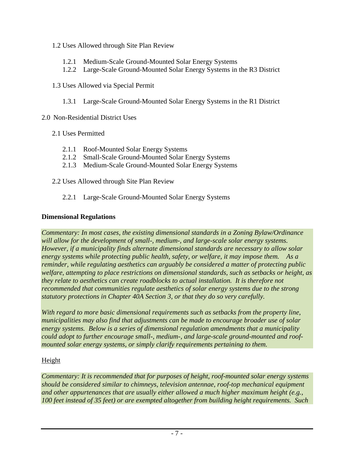- 1.2 Uses Allowed through Site Plan Review
	- 1.2.1 Medium-Scale Ground-Mounted Solar Energy Systems
	- 1.2.2 Large-Scale Ground-Mounted Solar Energy Systems in the R3 District
- 1.3 Uses Allowed via Special Permit
	- 1.3.1 Large-Scale Ground-Mounted Solar Energy Systems in the R1 District
- 2.0 Non-Residential District Uses
	- 2.1 Uses Permitted
		- 2.1.1 Roof-Mounted Solar Energy Systems
		- 2.1.2 Small-Scale Ground-Mounted Solar Energy Systems
		- 2.1.3 Medium-Scale Ground-Mounted Solar Energy Systems
	- 2.2 Uses Allowed through Site Plan Review
		- 2.2.1 Large-Scale Ground-Mounted Solar Energy Systems

## **Dimensional Regulations**

*Commentary: In most cases, the existing dimensional standards in a Zoning Bylaw/Ordinance will allow for the development of small-, medium-, and large-scale solar energy systems. However, if a municipality finds alternate dimensional standards are necessary to allow solar energy systems while protecting public health, safety, or welfare, it may impose them. As a reminder, while regulating aesthetics can arguably be considered a matter of protecting public welfare, attempting to place restrictions on dimensional standards, such as setbacks or height, as they relate to aesthetics can create roadblocks to actual installation. It is therefore not recommended that communities regulate aesthetics of solar energy systems due to the strong statutory protections in Chapter 40A Section 3, or that they do so very carefully.* 

*With regard to more basic dimensional requirements such as setbacks from the property line, municipalities may also find that adjustments can be made to encourage broader use of solar energy systems. Below is a series of dimensional regulation amendments that a municipality could adopt to further encourage small-, medium-, and large-scale ground-mounted and roofmounted solar energy systems, or simply clarify requirements pertaining to them.* 

# Height

*Commentary: It is recommended that for purposes of height, roof-mounted solar energy systems should be considered similar to chimneys, television antennae, roof-top mechanical equipment and other appurtenances that are usually either allowed a much higher maximum height (e.g., 100 feet instead of 35 feet) or are exempted altogether from building height requirements. Such*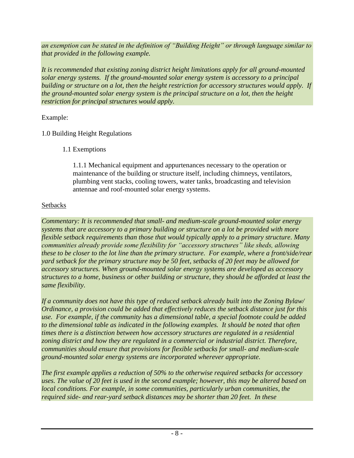*an exemption can be stated in the definition of "Building Height" or through language similar to that provided in the following example.*

*It is recommended that existing zoning district height limitations apply for all ground-mounted solar energy systems. If the ground-mounted solar energy system is accessory to a principal building or structure on a lot, then the height restriction for accessory structures would apply. If the ground-mounted solar energy system is the principal structure on a lot, then the height restriction for principal structures would apply.*

Example:

# 1.0 Building Height Regulations

1.1 Exemptions

1.1.1 Mechanical equipment and appurtenances necessary to the operation or maintenance of the building or structure itself, including chimneys, ventilators, plumbing vent stacks, cooling towers, water tanks, broadcasting and television antennae and roof-mounted solar energy systems.

# **Setbacks**

*Commentary: It is recommended that small- and medium-scale ground-mounted solar energy systems that are accessory to a primary building or structure on a lot be provided with more flexible setback requirements than those that would typically apply to a primary structure. Many communities already provide some flexibility for "accessory structures" like sheds, allowing these to be closer to the lot line than the primary structure. For example, where a front/side/rear yard setback for the primary structure may be 50 feet, setbacks of 20 feet may be allowed for accessory structures. When ground-mounted solar energy systems are developed as accessory structures to a home, business or other building or structure, they should be afforded at least the same flexibility.* 

*If a community does not have this type of reduced setback already built into the Zoning Bylaw/ Ordinance, a provision could be added that effectively reduces the setback distance just for this use. For example, if the community has a dimensional table, a special footnote could be added to the dimensional table as indicated in the following examples. It should be noted that often times there is a distinction between how accessory structures are regulated in a residential zoning district and how they are regulated in a commercial or industrial district. Therefore, communities should ensure that provisions for flexible setbacks for small- and medium-scale ground-mounted solar energy systems are incorporated wherever appropriate.* 

*The first example applies a reduction of 50% to the otherwise required setbacks for accessory uses. The value of 20 feet is used in the second example; however, this may be altered based on local conditions. For example, in some communities, particularly urban communities, the required side- and rear-yard setback distances may be shorter than 20 feet. In these*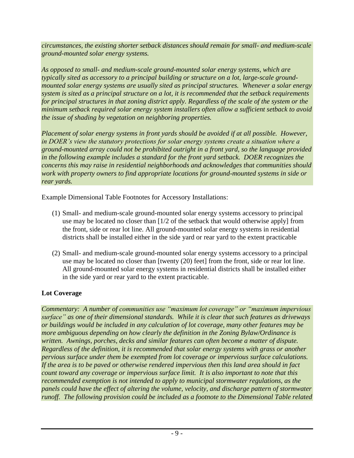*circumstances, the existing shorter setback distances should remain for small- and medium-scale ground-mounted solar energy systems.*

*As opposed to small- and medium-scale ground-mounted solar energy systems, which are typically sited as accessory to a principal building or structure on a lot, large-scale groundmounted solar energy systems are usually sited as principal structures. Whenever a solar energy system is sited as a principal structure on a lot, it is recommended that the setback requirements for principal structures in that zoning district apply. Regardless of the scale of the system or the minimum setback required solar energy system installers often allow a sufficient setback to avoid the issue of shading by vegetation on neighboring properties.*

*Placement of solar energy systems in front yards should be avoided if at all possible. However, in DOER's view the statutory protections for solar energy systems create a situation where a ground-mounted array could not be prohibited outright in a front yard, so the language provided in the following example includes a standard for the front yard setback. DOER recognizes the concerns this may raise in residential neighborhoods and acknowledges that communities should work with property owners to find appropriate locations for ground-mounted systems in side or rear yards.* 

Example Dimensional Table Footnotes for Accessory Installations:

- (1) Small- and medium-scale ground-mounted solar energy systems accessory to principal use may be located no closer than [1/2 of the setback that would otherwise apply] from the front, side or rear lot line. All ground-mounted solar energy systems in residential districts shall be installed either in the side yard or rear yard to the extent practicable
- (2) Small- and medium-scale ground-mounted solar energy systems accessory to a principal use may be located no closer than [twenty (20) feet] from the front, side or rear lot line. All ground-mounted solar energy systems in residential districts shall be installed either in the side yard or rear yard to the extent practicable.

# **Lot Coverage**

*Commentary: A number of communities use "maximum lot coverage" or "maximum impervious surface" as one of their dimensional standards. While it is clear that such features as driveways or buildings would be included in any calculation of lot coverage, many other features may be more ambiguous depending on how clearly the definition in the Zoning Bylaw/Ordinance is written. Awnings, porches, decks and similar features can often become a matter of dispute. Regardless of the definition, it is recommended that solar energy systems with grass or another pervious surface under them be exempted from lot coverage or impervious surface calculations. If the area is to be paved or otherwise rendered impervious then this land area should in fact count toward any coverage or impervious surface limit. It is also important to note that this recommended exemption is not intended to apply to municipal stormwater regulations, as the panels could have the effect of altering the volume, velocity, and discharge pattern of stormwater runoff. The following provision could be included as a footnote to the Dimensional Table related*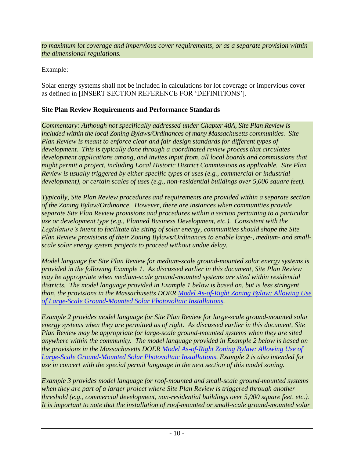*to maximum lot coverage and impervious cover requirements, or as a separate provision within the dimensional regulations.*

# Example:

Solar energy systems shall not be included in calculations for lot coverage or impervious cover as defined in [INSERT SECTION REFERENCE FOR 'DEFINITIONS'].

# **Site Plan Review Requirements and Performance Standards**

*Commentary: Although not specifically addressed under Chapter 40A, Site Plan Review is included within the local Zoning Bylaws/Ordinances of many Massachusetts communities. Site Plan Review is meant to enforce clear and fair design standards for different types of development. This is typically done through a coordinated review process that circulates development applications among, and invites input from, all local boards and commissions that might permit a project, including Local Historic District Commissions as applicable. Site Plan Review is usually triggered by either specific types of uses (e.g., commercial or industrial development), or certain scales of uses (e.g., non-residential buildings over 5,000 square feet).* 

*Typically, Site Plan Review procedures and requirements are provided within a separate section of the Zoning Bylaw/Ordinance. However, there are instances when communities provide separate Site Plan Review provisions and procedures within a section pertaining to a particular use or development type (e.g., Planned Business Development, etc.). Consistent with the Legislature's intent to facilitate the siting of solar energy, communities should shape the Site Plan Review provisions of their Zoning Bylaws/Ordinances to enable large-, medium- and smallscale solar energy system projects to proceed without undue delay.*

*Model language for Site Plan Review for medium-scale ground-mounted solar energy systems is provided in the following Example 1. As discussed earlier in this document, Site Plan Review may be appropriate when medium-scale ground-mounted systems are sited within residential districts. The model language provided in Example 1 below is based on, but is less stringent than, the provisions in the Massachusetts DOER [Model As-of-Right Zoning Bylaw: Allowing Use](http://www.mass.gov/eea/docs/doer/green-communities/grant-program/solar-model-bylaw-mar-2012.pdf)  [of Large-Scale Ground-Mounted Solar Photovoltaic Installations.](http://www.mass.gov/eea/docs/doer/green-communities/grant-program/solar-model-bylaw-mar-2012.pdf)* 

*Example 2 provides model language for Site Plan Review for large-scale ground-mounted solar energy systems when they are permitted as of right. As discussed earlier in this document, Site Plan Review may be appropriate for large-scale ground-mounted systems when they are sited anywhere within the community. The model language provided in Example 2 below is based on the provisions in the Massachusetts DOER [Model As-of-Right Zoning Bylaw: Allowing Use of](http://www.mass.gov/eea/docs/doer/green-communities/grant-program/solar-model-bylaw-mar-2012.pdf)  [Large-Scale Ground-Mounted Solar Photovoltaic Installations.](http://www.mass.gov/eea/docs/doer/green-communities/grant-program/solar-model-bylaw-mar-2012.pdf) Example 2 is also intended for use in concert with the special permit language in the next section of this model zoning.*

*Example 3 provides model language for roof-mounted and small-scale ground-mounted systems when they are part of a larger project where Site Plan Review is triggered through another threshold (e.g., commercial development, non-residential buildings over 5,000 square feet, etc.). It is important to note that the installation of roof-mounted or small-scale ground-mounted solar*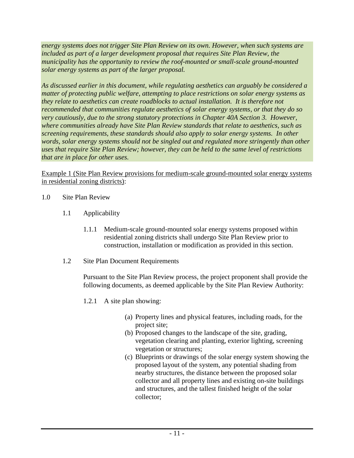*energy systems does not trigger Site Plan Review on its own. However, when such systems are included as part of a larger development proposal that requires Site Plan Review, the municipality has the opportunity to review the roof-mounted or small-scale ground-mounted solar energy systems as part of the larger proposal.* 

*As discussed earlier in this document, while regulating aesthetics can arguably be considered a matter of protecting public welfare, attempting to place restrictions on solar energy systems as they relate to aesthetics can create roadblocks to actual installation. It is therefore not recommended that communities regulate aesthetics of solar energy systems, or that they do so very cautiously, due to the strong statutory protections in Chapter 40A Section 3. However, where communities already have Site Plan Review standards that relate to aesthetics, such as screening requirements, these standards should also apply to solar energy systems. In other words, solar energy systems should not be singled out and regulated more stringently than other uses that require Site Plan Review; however, they can be held to the same level of restrictions that are in place for other uses.*

#### Example 1 (Site Plan Review provisions for medium-scale ground-mounted solar energy systems in residential zoning districts):

- 1.0 Site Plan Review
	- 1.1 Applicability
		- 1.1.1 Medium-scale ground-mounted solar energy systems proposed within residential zoning districts shall undergo Site Plan Review prior to construction, installation or modification as provided in this section.
	- 1.2 Site Plan Document Requirements

Pursuant to the Site Plan Review process, the project proponent shall provide the following documents, as deemed applicable by the Site Plan Review Authority:

- 1.2.1 A site plan showing:
	- (a) Property lines and physical features, including roads, for the project site;
	- (b) Proposed changes to the landscape of the site, grading, vegetation clearing and planting, exterior lighting, screening vegetation or structures;
	- (c) Blueprints or drawings of the solar energy system showing the proposed layout of the system, any potential shading from nearby structures, the distance between the proposed solar collector and all property lines and existing on-site buildings and structures, and the tallest finished height of the solar collector;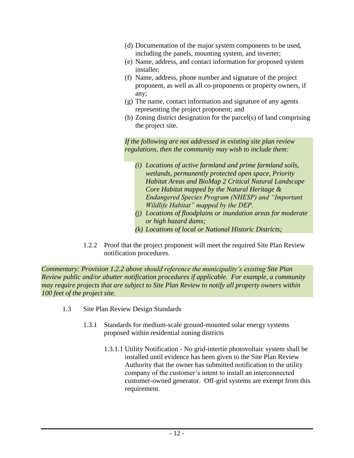- (d) Documentation of the major system components to be used, including the panels, mounting system, and inverter;
- (e) Name, address, and contact information for proposed system installer;
- (f) Name, address, phone number and signature of the project proponent, as well as all co-proponents or property owners, if any;
- (g) The name, contact information and signature of any agents representing the project proponent; and
- (h) Zoning district designation for the parcel(s) of land comprising the project site.

*If the following are not addressed in existing site plan review regulations, then the community may wish to include them:*

- *(i) Locations of active farmland and prime farmland soils, wetlands, permanently protected open space, Priority Habitat Areas and BioMap 2 Critical Natural Landscape Core Habitat mapped by the Natural Heritage & Endangered Species Program (NHESP) and "Important Wildlife Habitat" mapped by the DEP.*
- *(j) Locations of floodplains or inundation areas for moderate or high hazard dams;*
- *(k) Locations of local or National Historic Districts;*
- 1.2.2 Proof that the project proponent will meet the required Site Plan Review notification procedures.

*Commentary: Provision 1.2.2 above should reference the municipality's existing Site Plan Review public and/or abutter notification procedures if applicable. For example, a community may require projects that are subject to Site Plan Review to notify all property owners within 100 feet of the project site.*

- 1.3 Site Plan Review Design Standards
	- 1.3.1 Standards for medium-scale ground-mounted solar energy systems proposed within residential zoning districts
		- 1.3.1.1 Utility Notification No grid-intertie photovoltaic system shall be installed until evidence has been given to the Site Plan Review Authority that the owner has submitted notification to the utility company of the customer's intent to install an interconnected customer-owned generator. Off-grid systems are exempt from this requirement.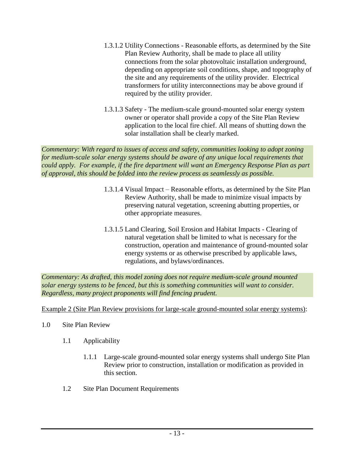- 1.3.1.2 Utility Connections Reasonable efforts, as determined by the Site Plan Review Authority, shall be made to place all utility connections from the solar photovoltaic installation underground, depending on appropriate soil conditions, shape, and topography of the site and any requirements of the utility provider. Electrical transformers for utility interconnections may be above ground if required by the utility provider.
- 1.3.1.3 Safety The medium-scale ground-mounted solar energy system owner or operator shall provide a copy of the Site Plan Review application to the local fire chief. All means of shutting down the solar installation shall be clearly marked.

*Commentary: With regard to issues of access and safety, communities looking to adopt zoning for medium-scale solar energy systems should be aware of any unique local requirements that could apply. For example, if the fire department will want an Emergency Response Plan as part of approval, this should be folded into the review process as seamlessly as possible.*

- 1.3.1.4 Visual Impact Reasonable efforts, as determined by the Site Plan Review Authority, shall be made to minimize visual impacts by preserving natural vegetation, screening abutting properties, or other appropriate measures.
- 1.3.1.5 Land Clearing, Soil Erosion and Habitat Impacts Clearing of natural vegetation shall be limited to what is necessary for the construction, operation and maintenance of ground-mounted solar energy systems or as otherwise prescribed by applicable laws, regulations, and bylaws/ordinances.

*Commentary: As drafted, this model zoning does not require medium-scale ground mounted solar energy systems to be fenced, but this is something communities will want to consider. Regardless, many project proponents will find fencing prudent.* 

Example 2 (Site Plan Review provisions for large-scale ground-mounted solar energy systems):

- 1.0 Site Plan Review
	- 1.1 Applicability
		- 1.1.1 Large-scale ground-mounted solar energy systems shall undergo Site Plan Review prior to construction, installation or modification as provided in this section.
	- 1.2 Site Plan Document Requirements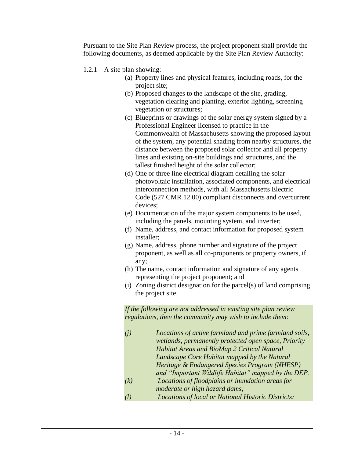Pursuant to the Site Plan Review process, the project proponent shall provide the following documents, as deemed applicable by the Site Plan Review Authority:

- 1.2.1 A site plan showing:
	- (a) Property lines and physical features, including roads, for the project site;
	- (b) Proposed changes to the landscape of the site, grading, vegetation clearing and planting, exterior lighting, screening vegetation or structures;
	- (c) Blueprints or drawings of the solar energy system signed by a Professional Engineer licensed to practice in the Commonwealth of Massachusetts showing the proposed layout of the system, any potential shading from nearby structures, the distance between the proposed solar collector and all property lines and existing on-site buildings and structures, and the tallest finished height of the solar collector;
	- (d) One or three line electrical diagram detailing the solar photovoltaic installation, associated components, and electrical interconnection methods, with all Massachusetts Electric Code (527 CMR 12.00) compliant disconnects and overcurrent devices;
	- (e) Documentation of the major system components to be used, including the panels, mounting system, and inverter;
	- (f) Name, address, and contact information for proposed system installer;
	- (g) Name, address, phone number and signature of the project proponent, as well as all co-proponents or property owners, if any;
	- (h) The name, contact information and signature of any agents representing the project proponent; and
	- (i) Zoning district designation for the parcel(s) of land comprising the project site.

*If the following are not addressed in existing site plan review regulations, then the community may wish to include them:*

- *(j) Locations of active farmland and prime farmland soils, wetlands, permanently protected open space, Priority Habitat Areas and BioMap 2 Critical Natural Landscape Core Habitat mapped by the Natural Heritage & Endangered Species Program (NHESP) and "Important Wildlife Habitat" mapped by the DEP. (k) Locations of floodplains or inundation areas for*
- *moderate or high hazard dams;*
- *(l) Locations of local or National Historic Districts;*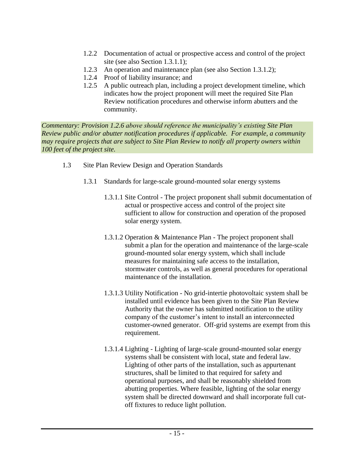- 1.2.2 Documentation of actual or prospective access and control of the project site (see also Section 1.3.1.1);
- 1.2.3 An operation and maintenance plan (see also Section 1.3.1.2);
- 1.2.4 Proof of liability insurance; and
- 1.2.5 A public outreach plan, including a project development timeline, which indicates how the project proponent will meet the required Site Plan Review notification procedures and otherwise inform abutters and the community.

*Commentary: Provision 1.2.6 above should reference the municipality's existing Site Plan Review public and/or abutter notification procedures if applicable. For example, a community may require projects that are subject to Site Plan Review to notify all property owners within 100 feet of the project site.*

- 1.3 Site Plan Review Design and Operation Standards
	- 1.3.1 Standards for large-scale ground-mounted solar energy systems
		- 1.3.1.1 Site Control The project proponent shall submit documentation of actual or prospective access and control of the project site sufficient to allow for construction and operation of the proposed solar energy system.
		- 1.3.1.2 Operation & Maintenance Plan The project proponent shall submit a plan for the operation and maintenance of the large-scale ground-mounted solar energy system, which shall include measures for maintaining safe access to the installation, stormwater controls, as well as general procedures for operational maintenance of the installation.
		- 1.3.1.3 Utility Notification No grid-intertie photovoltaic system shall be installed until evidence has been given to the Site Plan Review Authority that the owner has submitted notification to the utility company of the customer's intent to install an interconnected customer-owned generator. Off-grid systems are exempt from this requirement.
		- 1.3.1.4 Lighting Lighting of large-scale ground-mounted solar energy systems shall be consistent with local, state and federal law. Lighting of other parts of the installation, such as appurtenant structures, shall be limited to that required for safety and operational purposes, and shall be reasonably shielded from abutting properties. Where feasible, lighting of the solar energy system shall be directed downward and shall incorporate full cutoff fixtures to reduce light pollution.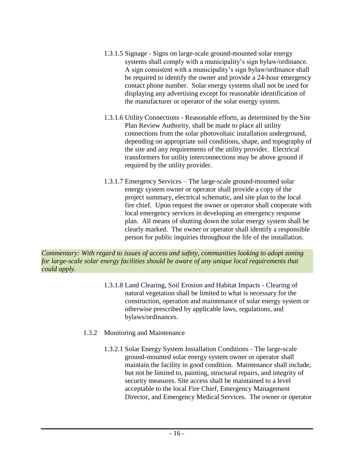- 1.3.1.5 Signage Signs on large-scale ground-mounted solar energy systems shall comply with a municipality's sign bylaw/ordinance. A sign consistent with a municipality's sign bylaw/ordinance shall be required to identify the owner and provide a 24-hour emergency contact phone number. Solar energy systems shall not be used for displaying any advertising except for reasonable identification of the manufacturer or operator of the solar energy system.
- 1.3.1.6 Utility Connections Reasonable efforts, as determined by the Site Plan Review Authority, shall be made to place all utility connections from the solar photovoltaic installation underground, depending on appropriate soil conditions, shape, and topography of the site and any requirements of the utility provider. Electrical transformers for utility interconnections may be above ground if required by the utility provider.
- 1.3.1.7 Emergency Services The large-scale ground-mounted solar energy system owner or operator shall provide a copy of the project summary, electrical schematic, and site plan to the local fire chief. Upon request the owner or operator shall cooperate with local emergency services in developing an emergency response plan. All means of shutting down the solar energy system shall be clearly marked. The owner or operator shall identify a responsible person for public inquiries throughout the life of the installation.

*Commentary: With regard to issues of access and safety, communities looking to adopt zoning for large-scale solar energy facilities should be aware of any unique local requirements that could apply.* 

- 1.3.1.8 Land Clearing, Soil Erosion and Habitat Impacts Clearing of natural vegetation shall be limited to what is necessary for the construction, operation and maintenance of solar energy system or otherwise prescribed by applicable laws, regulations, and bylaws/ordinances.
- 1.3.2 Monitoring and Maintenance
	- 1.3.2.1 Solar Energy System Installation Conditions The large-scale ground-mounted solar energy system owner or operator shall maintain the facility in good condition. Maintenance shall include, but not be limited to, painting, structural repairs, and integrity of security measures. Site access shall be maintained to a level acceptable to the local Fire Chief, Emergency Management Director, and Emergency Medical Services. The owner or operator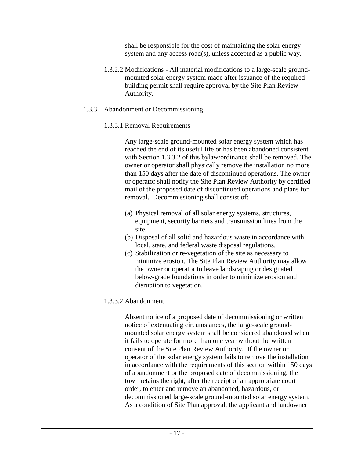shall be responsible for the cost of maintaining the solar energy system and any access road(s), unless accepted as a public way.

- 1.3.2.2 Modifications All material modifications to a large-scale groundmounted solar energy system made after issuance of the required building permit shall require approval by the Site Plan Review Authority.
- 1.3.3 Abandonment or Decommissioning
	- 1.3.3.1 Removal Requirements

Any large-scale ground-mounted solar energy system which has reached the end of its useful life or has been abandoned consistent with Section 1.3.3.2 of this bylaw/ordinance shall be removed. The owner or operator shall physically remove the installation no more than 150 days after the date of discontinued operations. The owner or operator shall notify the Site Plan Review Authority by certified mail of the proposed date of discontinued operations and plans for removal. Decommissioning shall consist of:

- (a) Physical removal of all solar energy systems, structures, equipment, security barriers and transmission lines from the site.
- (b) Disposal of all solid and hazardous waste in accordance with local, state, and federal waste disposal regulations.
- (c) Stabilization or re-vegetation of the site as necessary to minimize erosion. The Site Plan Review Authority may allow the owner or operator to leave landscaping or designated below-grade foundations in order to minimize erosion and disruption to vegetation.

### 1.3.3.2 Abandonment

Absent notice of a proposed date of decommissioning or written notice of extenuating circumstances, the large-scale groundmounted solar energy system shall be considered abandoned when it fails to operate for more than one year without the written consent of the Site Plan Review Authority. If the owner or operator of the solar energy system fails to remove the installation in accordance with the requirements of this section within 150 days of abandonment or the proposed date of decommissioning, the town retains the right, after the receipt of an appropriate court order, to enter and remove an abandoned, hazardous, or decommissioned large-scale ground-mounted solar energy system. As a condition of Site Plan approval, the applicant and landowner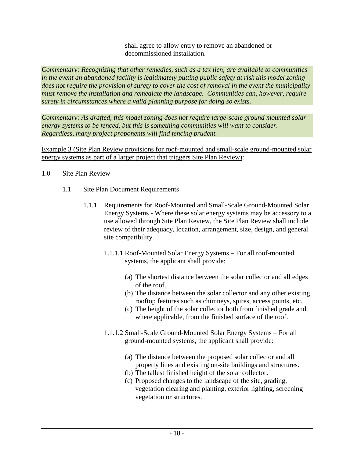shall agree to allow entry to remove an abandoned or decommissioned installation.

*Commentary: Recognizing that other remedies, such as a tax lien, are available to communities in the event an abandoned facility is legitimately putting public safety at risk this model zoning does not require the provision of surety to cover the cost of removal in the event the municipality must remove the installation and remediate the landscape. Communities can, however, require surety in circumstances where a valid planning purpose for doing so exists.* 

*Commentary: As drafted, this model zoning does not require large-scale ground mounted solar energy systems to be fenced, but this is something communities will want to consider. Regardless, many project proponents will find fencing prudent.* 

Example 3 (Site Plan Review provisions for roof-mounted and small-scale ground-mounted solar energy systems as part of a larger project that triggers Site Plan Review):

- 1.0 Site Plan Review
	- 1.1 Site Plan Document Requirements
		- 1.1.1 Requirements for Roof-Mounted and Small-Scale Ground-Mounted Solar Energy Systems - Where these solar energy systems may be accessory to a use allowed through Site Plan Review, the Site Plan Review shall include review of their adequacy, location, arrangement, size, design, and general site compatibility.
			- 1.1.1.1 Roof-Mounted Solar Energy Systems For all roof-mounted systems, the applicant shall provide:
				- (a) The shortest distance between the solar collector and all edges of the roof.
				- (b) The distance between the solar collector and any other existing rooftop features such as chimneys, spires, access points, etc.
				- (c) The height of the solar collector both from finished grade and, where applicable, from the finished surface of the roof.
			- 1.1.1.2 Small-Scale Ground-Mounted Solar Energy Systems For all ground-mounted systems, the applicant shall provide:
				- (a) The distance between the proposed solar collector and all property lines and existing on-site buildings and structures.
				- (b) The tallest finished height of the solar collector.
				- (c) Proposed changes to the landscape of the site, grading, vegetation clearing and planting, exterior lighting, screening vegetation or structures.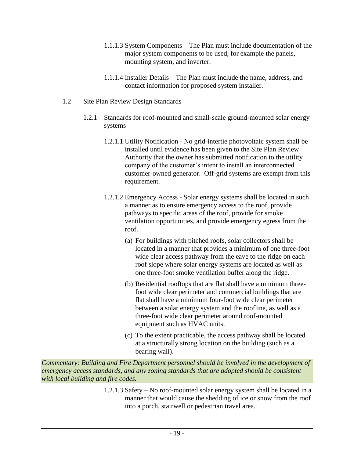- 1.1.1.3 System Components The Plan must include documentation of the major system components to be used, for example the panels, mounting system, and inverter.
- 1.1.1.4 Installer Details The Plan must include the name, address, and contact information for proposed system installer.
- 1.2 Site Plan Review Design Standards
	- 1.2.1 Standards for roof-mounted and small-scale ground-mounted solar energy systems
		- 1.2.1.1 Utility Notification No grid-intertie photovoltaic system shall be installed until evidence has been given to the Site Plan Review Authority that the owner has submitted notification to the utility company of the customer's intent to install an interconnected customer-owned generator. Off-grid systems are exempt from this requirement.
		- 1.2.1.2 Emergency Access Solar energy systems shall be located in such a manner as to ensure emergency access to the roof, provide pathways to specific areas of the roof, provide for smoke ventilation opportunities, and provide emergency egress from the roof.
			- (a) For buildings with pitched roofs, solar collectors shall be located in a manner that provides a minimum of one three-foot wide clear access pathway from the eave to the ridge on each roof slope where solar energy systems are located as well as one three-foot smoke ventilation buffer along the ridge.
			- (b) Residential rooftops that are flat shall have a minimum threefoot wide clear perimeter and commercial buildings that are flat shall have a minimum four-foot wide clear perimeter between a solar energy system and the roofline, as well as a three-foot wide clear perimeter around roof-mounted equipment such as HVAC units.
			- (c) To the extent practicable, the access pathway shall be located at a structurally strong location on the building (such as a bearing wall).

*Commentary: Building and Fire Department personnel should be involved in the development of emergency access standards, and any zoning standards that are adopted should be consistent with local building and fire codes.*

> 1.2.1.3 Safety – No roof-mounted solar energy system shall be located in a manner that would cause the shedding of ice or snow from the roof into a porch, stairwell or pedestrian travel area.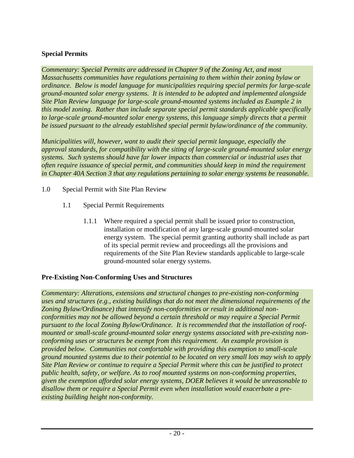## **Special Permits**

*Commentary: Special Permits are addressed in Chapter 9 of the Zoning Act, and most Massachusetts communities have regulations pertaining to them within their zoning bylaw or ordinance. Below is model language for municipalities requiring special permits for large-scale ground-mounted solar energy systems. It is intended to be adopted and implemented alongside Site Plan Review language for large-scale ground-mounted systems included as Example 2 in this model zoning. Rather than include separate special permit standards applicable specifically to large-scale ground-mounted solar energy systems, this language simply directs that a permit be issued pursuant to the already established special permit bylaw/ordinance of the community.* 

*Municipalities will, however, want to audit their special permit language, especially the approval standards, for compatibility with the siting of large-scale ground-mounted solar energy systems. Such systems should have far lower impacts than commercial or industrial uses that often require issuance of special permit, and communities should keep in mind the requirement in Chapter 40A Section 3 that any regulations pertaining to solar energy systems be reasonable.* 

- 1.0 Special Permit with Site Plan Review
	- 1.1 Special Permit Requirements
		- 1.1.1 Where required a special permit shall be issued prior to construction, installation or modification of any large-scale ground-mounted solar energy system. The special permit granting authority shall include as part of its special permit review and proceedings all the provisions and requirements of the Site Plan Review standards applicable to large-scale ground-mounted solar energy systems.

# **Pre-Existing Non-Conforming Uses and Structures**

*Commentary: Alterations, extensions and structural changes to pre-existing non-conforming uses and structures (e.g., existing buildings that do not meet the dimensional requirements of the Zoning Bylaw/Ordinance) that intensify non-conformities or result in additional nonconformities may not be allowed beyond a certain threshold or may require a Special Permit pursuant to the local Zoning Bylaw/Ordinance. It is recommended that the installation of roofmounted or small-scale ground-mounted solar energy systems associated with pre-existing nonconforming uses or structures be exempt from this requirement. An example provision is provided below. Communities not comfortable with providing this exemption to small-scale ground mounted systems due to their potential to be located on very small lots may wish to apply Site Plan Review or continue to require a Special Permit where this can be justified to protect public health, safety, or welfare. As to roof mounted systems on non-conforming properties, given the exemption afforded solar energy systems, DOER believes it would be unreasonable to disallow them or require a Special Permit even when installation would exacerbate a preexisting building height non-conformity.*